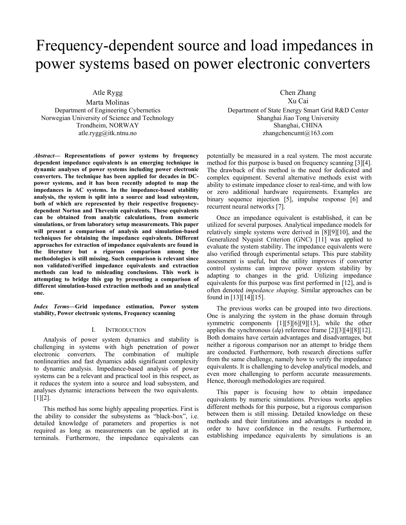# Frequency-dependent source and load impedances in power systems based on power electronic converters

Atle Rygg

Marta Molinas Department of Engineering Cybernetics Norwegian University of Science and Technology Trondheim, NORWAY atle.rygg@itk.ntnu.no

*Abstract***— Representations of power systems by frequency dependent impedance equivalents is an emerging technique in dynamic analyses of power systems including power electronic converters. The technique has been applied for decades in DCpower systems, and it has been recently adopted to map the impedances in AC systems. In the impedance-based stability analysis, the system is split into a source and load subsystem, both of which are represented by their respective frequencydependent Norton and Thevenin equivalents. These equivalents can be obtained from analytic calculations, from numeric simulations, or from laboratory setup measurements. This paper will present a comparison of analysis and simulation-based techniques for obtaining the impedance equivalents. Different approaches for extraction of impedance equivalents are found in the literature but a rigorous comparison among the methodologies is still missing. Such comparison is relevant since non validated/verified impedance equivalents and extraction methods can lead to misleading conclusions. This work is attempting to bridge this gap by presenting a comparison of different simulation-based extraction methods and an analytical one.** 

*Index Terms***—Grid impedance estimation, Power system stability, Power electronic systems, Frequency scanning**

## I. INTRODUCTION

Analysis of power system dynamics and stability is challenging in systems with high penetration of power electronic converters. The combination of multiple nonlinearities and fast dynamics adds significant complexity to dynamic analysis. Impedance-based analysis of power systems can be a relevant and practical tool in this respect, as it reduces the system into a source and load subsystem, and analyses dynamic interactions between the two equivalents.  $[1]$ [2].

This method has some highly appealing properties. First is the ability to consider the subsystems as "black-box", i.e. detailed knowledge of parameters and properties is not required as long as measurements can be applied at its terminals. Furthermore, the impedance equivalents can

Chen Zhang Xu Cai Department of State Energy Smart Grid R&D Center Shanghai Jiao Tong University Shanghai, CHINA zhangchencumt@163.com

potentially be measured in a real system. The most accurate method for this purpose is based on frequency scanning [3][4]. The drawback of this method is the need for dedicated and complex equipment. Several alternative methods exist with ability to estimate impedance closer to real-time, and with low or zero additional hardware requirements. Examples are binary sequence injection [5], impulse response [6] and recurrent neural networks [7].

Once an impedance equivalent is established, it can be utilized for several purposes. Analytical impedance models for relatively simple systems were derived in [8][9][10], and the Generalized Nyquist Criterion (GNC) [11] was applied to evaluate the system stability. The impedance equivalents were also verified through experimental setups. This pure stability assessment is useful, but the utility improves if converter control systems can improve power system stability by adapting to changes in the grid. Utilizing impedance equivalents for this purpose was first performed in [12], and is often denoted *impedance shaping*. Similar approaches can be found in [13][14][15].

The previous works can be grouped into two directions. One is analyzing the system in the phase domain through symmetric components [1][5][6][9][13], while the other applies the synchronous (*dq*) reference frame [2][3][4][8][12]. Both domains have certain advantages and disadvantages, but neither a rigorous comparison nor an attempt to bridge them are conducted. Furthermore, both research directions suffer from the same challenge, namely how to verify the impedance equivalents. It is challenging to develop analytical models, and even more challenging to perform accurate measurements. Hence, thorough methodologies are required.

This paper is focusing how to obtain impedance equivalents by numeric simulations. Previous works applies different methods for this purpose, but a rigorous comparison between them is still missing. Detailed knowledge on these methods and their limitations and advantages is needed in order to have confidence in the results. Furthermore, establishing impedance equivalents by simulations is an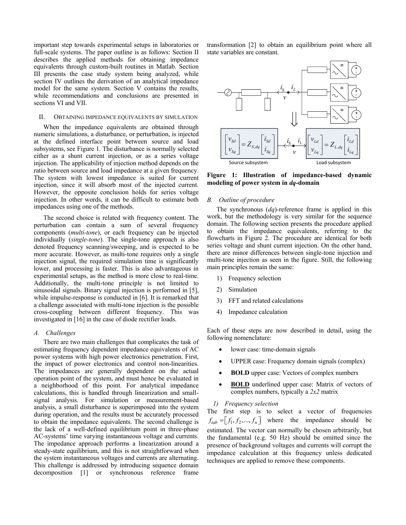important step towards experimental setups in laboratories or full-scale systems. The paper outline is as follows: Section II describes the applied methods for obtaining impedance equivalents through custom-built routines in Matlab. Section III presents the case study system being analyzed, while section IV outlines the derivation of an analytical impedance model for the same system. Section V contains the results, while recommendations and conclusions are presented in sections VI and VII.

## II. OBTAINING IMPEDANCE EQUIVALENTS BY SIMULATION

When the impedance equivalents are obtained through numeric simulations, a disturbance, or perturbation, is injected at the defined interface point between source and load subsystems, see Figure 1. The disturbance is normally selected either as a shunt current injection, or as a series voltage injection. The applicability of injection method depends on the ratio between source and load impedance at a given frequency. The system with lowest impedance is suited for current injection, since it will absorb most of the injected current. However, the opposite conclusion holds for series voltage injection. In other words, it can be difficult to estimate both impedances using one of the methods.

The second choice is related with frequency content. The perturbation can contain a sum of several frequency components (*multi-tone*), or each frequency can be injected individually (*single-tone*). The single-tone approach is also denoted frequency scanning/sweeping, and is expected to be more accurate. However, as multi-tone requires only a single injection signal, the required simulation time is significantly lower, and processing is faster. This is also advantageous in experimental setups, as the method is more close to real-time. Additionally, the multi-tone principle is not limited to sinusoidal signals. Binary signal injection is performed in [5], while impulse-response is conducted in [6]. It is remarked that a challenge associated with multi-tone injection is the possible cross-coupling between different frequency. This was investigated in [16] in the case of diode rectifier loads.

## *A. Challenges*

There are two main challenges that complicates the task of estimating frequency dependent impedance equivalents of AC power systems with high power electronics penetration. First, the impact of power electronics and control non-linearities. The impedances are generally dependent on the actual operation point of the system, and must hence be evaluated in a neighborhood of this point. For analytical impedance calculations, this is handled through linearization and smallsignal analysis. For simulation or measurement-based analysis, a small disturbance is superimposed into the system during operation, and the results must be accurately processed to obtain the impedance equivalents. The second challenge is the lack of a well-defined equilibrium point in three-phase AC-systems' time varying instantaneous voltage and currents. The impedance approach performs a linearization around a steady-state equilibrium, and this is not straightforward when the system instantaneous voltages and currents are alternating. This challenge is addressed by introducing sequence domain decomposition [1] or synchronous reference frame

transformation [2] to obtain an equilibrium point where all state variables are constant.



**Figure 1: Illustration of impedance-based dynamic modeling of power system in** *dq***-domain**

## *B. Outline of procedure*

The synchronous (*dq*)-reference frame is applied in this work, but the methodology is very similar for the sequence domain. The following section presents the procedure applied to obtain the impedance equivalents, referring to the flowcharts in Figure 2. The procedure are identical for both series voltage and shunt current injection. On the other hand, there are minor differences between single-tone injection and multi-tone injection as seen in the figure. Still, the following main principles remain the same:

- 1) Frequency selection
- 2) Simulation
- 3) FFT and related calculations
- 4) Impedance calculation

Each of these steps are now described in detail, using the following nomenclature:

- lower case: time-domain signals
- UPPER case: Frequency domain signals (complex)
- **BOLD** upper case: Vectors of complex numbers
- **BOLD** underlined upper case: Matrix of vectors of complex numbers, typically a *2x2* matrix

## *1) Frequency selection*

The first step is to select a vector of frequencies  $f_{tab} = [f_1, f_2, ..., f_n]$  where the impedance should be estimated. The vector can normally be chosen arbitrarily, but the fundamental (e.g. 50 Hz) should be omitted since the presence of background voltages and currents will corrupt the impedance calculation at this frequency unless dedicated techniques are applied to remove these components.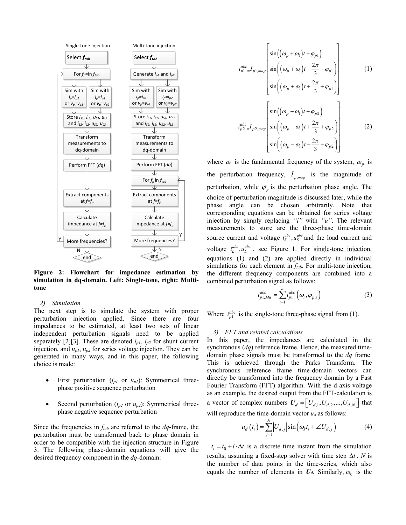

**Figure 2: Flowchart for impedance estimation by simulation in dq-domain. Left: Single-tone, right: Multitone**

## *2) Simulation*

The next step is to simulate the system with proper perturbation injection applied. Since there are four impedances to be estimated, at least two sets of linear independent perturbation signals need to be applied separately [2][3]. These are denoted  $i_{p1}$ ,  $i_{p2}$  for shunt current injection, and  $u_{p1}$ ,  $u_{p2}$  for series voltage injection. They can be generated in many ways, and in this paper, the following choice is made:

- First perturbation  $(i_{p1}$  or  $u_{p1}$ ): Symmetrical threephase positive sequence perturbation
- Second perturbation  $(i_{p2}$  or  $u_{p2})$ : Symmetrical threephase negative sequence perturbation

Since the frequencies in *ftab* are referred to the *dq*-frame, the perturbation must be transformed back to phase domain in order to be compatible with the injection structure in Figure 3. The following phase-domain equations will give the desired frequency component in the *dq*-domain:

$$
i_{p1}^{abc} = I_{p1, mag} \left[ \sin((\omega_p + \omega_1)t + \varphi_{p1}) + i_{p1}^{abc} = I_{p1, mag} \left[ (\omega_p + \omega_1)t - \frac{2\pi}{3} + \varphi_{p1} \right] \right]
$$
(1)  

$$
= \sin((\omega_p + \omega_1)t + \frac{2\pi}{3} + \varphi_{p1}) + \sin((\omega_p - \omega_1)t + \varphi_{p2}) + \sin((\omega_p - \omega_1)t + \frac{2\pi}{3} + \varphi_{p2}) + \sin((\omega_p - \omega_1)t + \frac{2\pi}{3} + \varphi_{p2}) \right]
$$
(2)

where  $\omega_1$  is the fundamental frequency of the system,  $\omega_p$  is the perturbation frequency,  $I_{p, mag}$  is the magnitude of perturbation, while  $\varphi$ <sub>p</sub> is the perturbation phase angle. The choice of perturbation magnitude is discussed later, while the phase angle can be chosen arbitrarily. Note that corresponding equations can be obtained for series voltage injection by simply replacing *"i"* with *"u"*. The relevant measurements to store are the three-phase time-domain source current and voltage  $i_S^{abc}$ ,  $u_S^{abc}$  and the load current and voltage  $i_L^{abc}$ ,  $u_L^{abc}$ , see Figure 1. For single-tone injection, equations (1) and (2) are applied directly in individual simulations for each element in *ftab*. For multi-tone injection, the different frequency components are combined into a combined perturbation signal as follows:

$$
i_{p1,Mu}^{abc} = \sum_{i=1}^{n} i_{p1}^{abc} \left( \omega_i, \varphi_{p,i} \right)
$$
 (3)

Where  $i_{p1}^{abc}$  is the single-tone three-phase signal from (1).

## *3) FFT and related calculations*

In this paper, the impedances are calculated in the synchronous (*dq*) reference frame. Hence, the measured timedomain phase signals must be transformed to the *dq* frame. This is achieved through the Parks Transform. The synchronous reference frame time-domain vectors can directly be transformed into the frequency domain by a Fast Fourier Transform (FFT) algorithm. With the d-axis voltage as an example, the desired output from the FFT-calculation is a vector of complex numbers  $U_d = \begin{bmatrix} U_{d,1}, U_{d,2},..., U_{d,N} \end{bmatrix}$  that will reproduce the time-domain vector  $u_d$  as follows:

$$
u_{d}(t_{i}) = \sum_{j=1}^{N} |U_{d,j}| \sin(\omega_{k}t_{i} + \angle U_{d,j})
$$
 (4)

 $t_i = t_0 + i \cdot \Delta t$  is a discrete time instant from the simulation results, assuming a fixed-step solver with time step  $\Delta t$ . *N* is the number of data points in the time-series, which also equals the number of elements in  $U_d$ . Similarly,  $\omega_k$  is the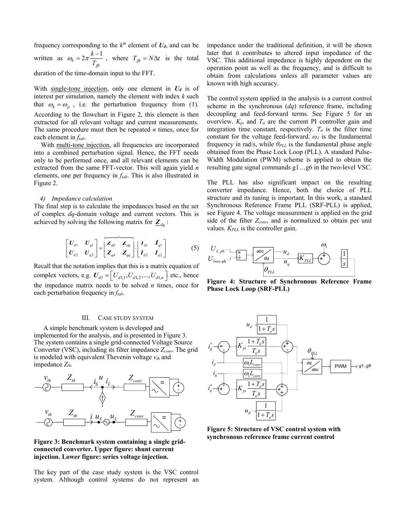frequency corresponding to the  $k^{th}$  element of  $U_d$ , and can be written as  $\omega_k = 2\pi \frac{k-1}{r}$ *fft k*  $\omega_k = 2\pi \frac{\kappa - 1}{T_m}$ , where  $T_{ff} = N\Delta t$  is the total

duration of the time-domain input to the FFT.

With single-tone injection, only one element in  $U_d$  is of interest per simulation, namely the element with index *k* such that  $\omega_k = \omega_p$ , i.e. the perturbation frequency from (1). According to the flowchart in Figure 2, this element is then extracted for all relevant voltage and current measurements. The same procedure must then be repeated *n* times, once for each element in *ftab*.

With multi-tone injection, all frequencies are incorporated into a combined perturbation signal. Hence, the FFT needs only to be performed once, and all relevant elements can be extracted from the same FFT-vector. This will again yield *n* elements, one per frequency in *ftab*. This is also illustrated in Figure 2.

#### *4) Impedance calculation*

The final step is to calculate the impedances based on the set of complex *dq*-domain voltage and current vectors. This is achieved by solving the following matrix for  $\underline{\mathbf{Z}}_{dq}$ :

$$
\begin{bmatrix} \boldsymbol{U}_{d1} & \boldsymbol{U}_{q1} \\ \boldsymbol{U}_{d2} & \boldsymbol{U}_{q2} \end{bmatrix} = \begin{bmatrix} \boldsymbol{Z}_{dd} & \boldsymbol{Z}_{dq} \\ \boldsymbol{Z}_{qd} & \boldsymbol{Z}_{qq} \end{bmatrix} \cdot \begin{bmatrix} \boldsymbol{I}_{d1} & \boldsymbol{I}_{q1} \\ \boldsymbol{I}_{d2} & \boldsymbol{I}_{q2} \end{bmatrix}
$$
 (5)

Recall that the notation implies that this is a matrix equation of complex vectors, e.g.  $U_{d1} = \begin{bmatrix} U_{d1,1}, U_{d1,2},..., U_{d1,n} \end{bmatrix}$  etc., hence the impedance matrix needs to be solved *n* times, once for each perturbation frequency in *ftab*.

## III. CASE STUDY SYSTEM

A simple benchmark system is developed and implemented for the analysis, and is presented in Figure 3. The system contains a single grid-connected Voltage Source Converter (VSC), including its filter impedance *Zconv*. The grid is modeled with equivalent Thevenin voltage *vth* and impedance *Zth*.



**Figure 3: Benchmark system containing a single gridconnected converter. Upper figure: shunt current injection. Lower figure: series voltage injection.**

The key part of the case study system is the VSC control system. Although control systems do not represent an impedance under the traditional definition, it will be shown later that it contributes to altered input impedance of the VSC. This additional impedance is highly dependent on the operation point as well as the frequency, and is difficult to obtain from calculations unless all parameter values are known with high accuracy.

The control system applied in the analysis is a current control scheme in the synchronous (*dq*) reference frame, including decoupling and feed-forward terms. See Figure 5 for an overview.  $K_{pi}$  and  $T_{ii}$  are the current PI controller gain and integration time constant, respectively.  $T_u$  is the filter time constant for the voltage feed-forward. *ω<sup>1</sup>* is the fundamental frequency in rad/s, while *θPLL* is the fundamental phase angle obtained from the Phase Lock Loop (PLL). A standard Pulse-Width Modulation (PWM) scheme is applied to obtain the resulting gate signal commands g1…g6 in the two-level VSC.

The PLL has also significant impact on the resulting converter impedance. Hence, both the choice of PLL structure and its tuning is important. In this work, a standard Synchronous Reference Frame PLL (SRF-PLL) is applied, see Figure 4. The voltage measurement is applied on the grid side of the filter *Zconv*, and is normalized to obtain per unit values. *KPLL* is the controller gain.



**Figure 4: Structure of Synchronous Reference Frame Phase Lock Loop (SRF-PLL)**



**Figure 5: Structure of VSC control system with synchronous reference frame current control**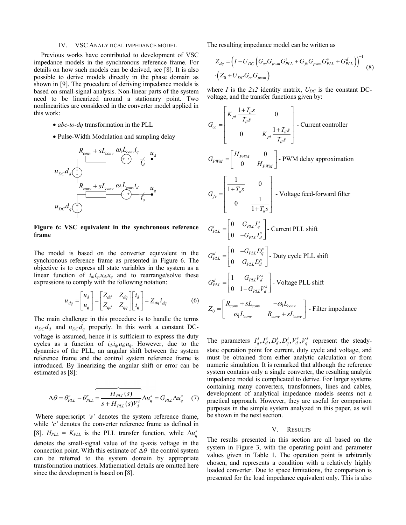#### IV. VSC ANALYTICAL IMPEDANCE MODEL

Previous works have contributed to development of VSC impedance models in the synchronous reference frame. For details on how such models can be derived, see [8]. It is also possible to derive models directly in the phase domain as shown in [9]. The procedure of deriving impedance models is based on small-signal analysis. Non-linear parts of the system need to be linearized around a stationary point. Two nonlinearities are considered in the converter model applied in this work:

- *abc-to-dq* transformation in the PLL
- Pulse-Width Modulation and sampling delay



**Figure 6: VSC equivalent in the synchronous reference frame**

The model is based on the converter equivalent in the synchronous reference frame as presented in Figure 6. The objective is to express all state variables in the system as a linear function of  $i_d$ ,  $i_q$ ,  $u_d$ ,  $u_q$  and to rearrange/solve these expressions to comply with the following notation:

$$
\underline{u}_{dq} = \begin{bmatrix} u_d \\ u_q \end{bmatrix} = \begin{bmatrix} Z_{dd} & Z_{dq} \\ Z_{qd} & Z_{qq} \end{bmatrix} \begin{bmatrix} i_d \\ i_q \end{bmatrix} = Z_{dq} i_{dq} \tag{6}
$$

The main challenge in this procedure is to handle the terms  $u_{DC}d_d$  and  $u_{DC}d_q$  properly. In this work a constant DCvoltage is assumed, hence it is sufficient to express the duty cycles as a function of  $i_d$ ,  $i_d$ ,  $u_d$ ,  $u_d$ . However, due to the dynamics of the PLL, an angular shift between the system reference frame and the control system reference frame is introduced. By linearizing the angular shift or error can be estimated as [8]:

$$
\Delta \theta = \theta_{PLL}^c - \theta_{PLL}^s = \frac{H_{PLL}(s)}{s + H_{PLL}(s)V_d^s} \Delta u_q^s = G_{PLL} \Delta u_q^s \tag{7}
$$

Where superscript *'s'* denotes the system reference frame, while *'c'* denotes the converter reference frame as defined in [8].  $H_{PLL} = K_{PLL}$  is the PLL transfer function, while  $\Delta u_q^s$ denotes the small-signal value of the q-axis voltage in the connection point. With this estimate of  $\Delta\theta$  the control system can be referred to the system domain by appropriate transformation matrices. Mathematical details are omitted here since the development is based on [8].

The resulting impedance model can be written as

$$
Z_{dq} = \left(I - U_{DC} \left(G_{cc} G_{pwm} G_{PLL}^{i} + G_{fv} G_{pwm} G_{PLL}^{v} + G_{PLL}^{d}\right)\right)^{-1}
$$
  
 
$$
\cdot \left(Z_0 + U_{DC} G_{cc} G_{pwm}\right)
$$
 (8)

where *I* is the  $2x2$  identity matrix,  $U_{DC}$  is the constant DCvoltage, and the transfer functions given by:

$$
G_{cc} = \begin{bmatrix} K_{pi} \frac{1 + T_{ii}S}{T_{ii}S} & 0 \\ 0 & K_{pi} \frac{1 + T_{ii}S}{T_{ii}S} \end{bmatrix} - \text{Current controller}
$$
  
\n
$$
G_{PWM} = \begin{bmatrix} H_{PWM} & 0 \\ 0 & H_{PWM} \end{bmatrix} - \text{PWM delay approximation}
$$
  
\n
$$
G_{fv} = \begin{bmatrix} \frac{1}{1 + T_{u}S} & 0 \\ 0 & \frac{1}{1 + T_{u}S} \end{bmatrix} - \text{Voltage feed-forward filter}
$$
  
\n
$$
G_{PLL}^i = \begin{bmatrix} 0 & G_{PLL}I_{q}^s \\ 0 & -G_{PLL}I_{d}^s \end{bmatrix} - \text{Current PLL shift}
$$
  
\n
$$
G_{PLL}^d = \begin{bmatrix} 0 & -G_{PLL}D_{q}^s \\ 0 & G_{PLL}D_{d}^s \end{bmatrix} - \text{Duty cycle PLL shift}
$$
  
\n
$$
G_{PLL}^d = \begin{bmatrix} 1 & G_{PLL}V_{d}^s \\ 0 & 1 - G_{PLL}V_{d}^s \end{bmatrix} - \text{Voltage PLL shift}
$$
  
\n
$$
Z_0 = \begin{bmatrix} R_{conv} + sL_{conv} & -\omega_1 L_{conv} \\ \omega_1 L_{conv} & R_{conv} + sL_{conv} \end{bmatrix} - \text{Filter impedance}
$$

The parameters  $I_q^s$ ,  $I_d^s$ ,  $D_d^s$ ,  $D_q^s$ ,  $V_d^s$ ,  $V_q^s$  represent the steadystate operation point for current, duty cycle and voltage, and must be obtained from either analytic calculation or from numeric simulation. It is remarked that although the reference system contains only a single converter, the resulting analytic impedance model is complicated to derive. For larger systems containing many converters, transformers, lines and cables, development of analytical impedance models seems not a practical approach. However, they are useful for comparison purposes in the simple system analyzed in this paper, as will be shown in the next section.

#### V. RESULTS

The results presented in this section are all based on the system in Figure 3, with the operating point and parameter values given in Table 1. The operation point is arbitrarily chosen, and represents a condition with a relatively highly loaded converter. Due to space limitations, the comparison is presented for the load impedance equivalent only. This is also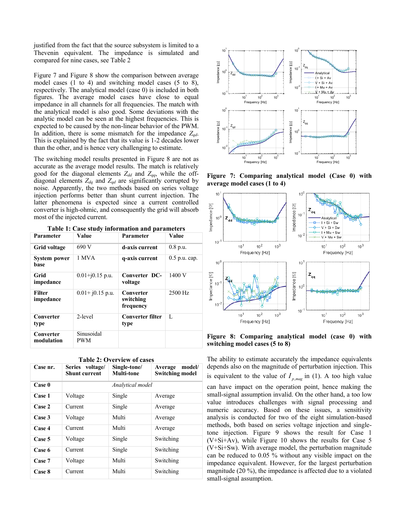justified from the fact that the source subsystem is limited to a Thevenin equivalent. The impedance is simulated and compared for nine cases, see Table 2

Figure 7 and Figure 8 show the comparison between average model cases (1 to 4) and switching model cases (5 to 8), respectively. The analytical model (case 0) is included in both figures. The average model cases have close to equal impedance in all channels for all frequencies. The match with the analytical model is also good. Some deviations with the analytic model can be seen at the highest frequencies. This is expected to be caused by the non-linear behavior of the PWM. In addition, there is some mismatch for the impedance *Zqd*. This is explained by the fact that its value is 1-2 decades lower than the other, and is hence very challenging to estimate.

The switching model results presented in Figure 8 are not as accurate as the average model results. The match is relatively good for the diagonal elements *Zdd* and *Zqq*, while the offdiagonal elements  $Z_{dq}$  and  $Z_{qd}$  are significantly corrupted by noise. Apparently, the two methods based on series voltage injection performs better than shunt current injection. The latter phenomena is expected since a current controlled converter is high-ohmic, and consequently the grid will absorb most of the injected current.

**Table 1: Case study information and parameters**

| Parameter                   | Value                    | <b>Parameter</b>                    | Value         |
|-----------------------------|--------------------------|-------------------------------------|---------------|
| <b>Grid voltage</b>         | 690 V                    | d-axis current                      | $0.8$ p.u.    |
| System power<br><b>base</b> | 1 MVA                    | q-axis current                      | 0.5 p.u. cap. |
| Grid<br>impedance           | $0.01 + j0.15$ p.u.      | <b>Converter DC-</b><br>voltage     | 1400 V        |
| <b>Filter</b><br>impedance  | $0.01 + j0.15$ p.u.      | Converter<br>switching<br>frequency | 2500 Hz       |
| Converter<br>type           | 2-level                  | <b>Converter filter</b><br>type     | L             |
| Converter<br>modulation     | Sinusoidal<br><b>PWM</b> |                                     |               |

| <b>Table 2: Overview of cases</b> |                                  |                            |                                             |  |
|-----------------------------------|----------------------------------|----------------------------|---------------------------------------------|--|
| Case nr.                          | Series voltage/<br>Shunt current | Single-tone/<br>Multi-tone | model/<br>Average<br><b>Switching model</b> |  |
| Case 0                            | Analytical model                 |                            |                                             |  |
| <b>Case 1</b>                     | Voltage                          | Single                     | Average                                     |  |
| Case 2                            | Current                          | Single                     | Average                                     |  |
| Case 3                            | Voltage                          | Multi                      | Average                                     |  |
| Case 4                            | Current                          | Multi                      | Average                                     |  |
| Case 5                            | Voltage                          | Single                     | Switching                                   |  |
| Case 6                            | Current                          | Single                     | Switching                                   |  |
| Case 7                            | Voltage                          | Multi                      | Switching                                   |  |
| Case 8                            | Current                          | Multi                      | Switching                                   |  |



**Figure 7: Comparing analytical model (Case 0) with average model cases (1 to 4)**



**Figure 8: Comparing analytical model (case 0) with switching model cases (5 to 8)**

The ability to estimate accurately the impedance equivalents depends also on the magnitude of perturbation injection. This is equivalent to the value of  $I_{p, mag}$  in (1). A too high value can have impact on the operation point, hence making the small-signal assumption invalid. On the other hand, a too low value introduces challenges with signal processing and numeric accuracy. Based on these issues, a sensitivity analysis is conducted for two of the eight simulation-based methods, both based on series voltage injection and singletone injection. Figure 9 shows the result for Case 1 (V+Si+Av), while Figure 10 shows the results for Case 5 (V+Si+Sw). With average model, the perturbation magnitude can be reduced to 0.05 % without any visible impact on the impedance equivalent. However, for the largest perturbation magnitude (20 %), the impedance is affected due to a violated small-signal assumption.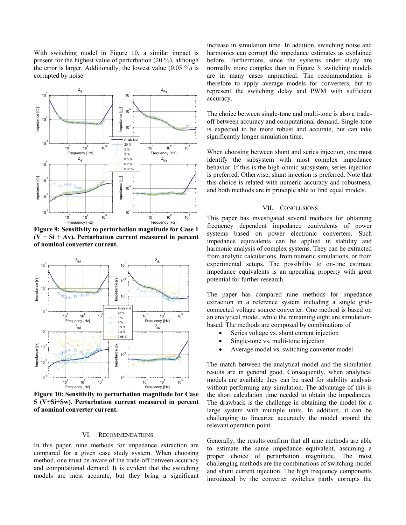With switching model in Figure 10, a similar impact is present for the highest value of perturbation (20 %), although the error is larger. Additionally, the lowest value  $(0.05 \%)$  is corrupted by noise.



**Figure 9: Sensitivity to perturbation magnitude for Case 1 (V + Si + Av). Perturbation current measured in percent of nominal converter current.**



**Figure 10: Sensitivity to perturbation magnitude for Case 5 (V+Si+Sw). Perturbation current measured in percent of nominal converter current.**

# VI. RECOMMENDATIONS

In this paper, nine methods for impedance extraction are compared for a given case study system. When choosing method, one must be aware of the trade-off between accuracy and computational demand. It is evident that the switching models are most accurate, but they bring a significant increase in simulation time. In addition, switching noise and harmonics can corrupt the impedance estimates as explained before. Furthermore, since the systems under study are normally more complex than in Figure 3, switching models are in many cases unpractical. The recommendation is therefore to apply average models for converters, but to represent the switching delay and PWM with sufficient accuracy.

The choice between single-tone and multi-tone is also a tradeoff between accuracy and computational demand. Single-tone is expected to be more robust and accurate, but can take significantly longer simulation time.

When choosing between shunt and series injection, one must identify the subsystem with most complex impedance behavior. If this is the high-ohmic subsystem, series injection is preferred. Otherwise, shunt injection is preferred. Note that this choice is related with numeric accuracy and robustness, and both methods are in principle able to find equal models.

## VII. CONCLUSIONS

This paper has investigated several methods for obtaining frequency dependent impedance equivalents of power systems based on power electronic converters. Such impedance equivalents can be applied in stability and harmonic analysis of complex systems. They can be extracted from analytic calculations, from numeric simulations, or from experimental setups. The possibility to on-line estimate impedance equivalents is an appealing property with great potential for further research.

The paper has compared nine methods for impedance extraction in a reference system including a single gridconnected voltage source converter. One method is based on an analytical model, while the remaining eight are simulationbased. The methods are composed by combinations of

- Series voltage vs. shunt current injection
- Single-tone vs. multi-tone injection
- Average model vs. switching converter model

The match between the analytical model and the simulation results are in general good. Consequently, when analytical models are available they can be used for stability analysis without performing any simulation. The advantage of this is the short calculation time needed to obtain the impedances. The drawback is the challenge in obtaining the model for a large system with multiple units. In addition, it can be challenging to linearize accurately the model around the relevant operation point.

Generally, the results confirm that all nine methods are able to estimate the same impedance equivalent, assuming a proper choice of perturbation magnitude. The most challenging methods are the combinations of switching model and shunt current injection. The high frequency components introduced by the converter switches partly corrupts the